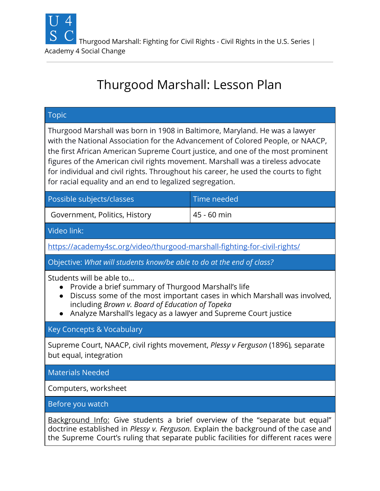

# Thurgood Marshall: Lesson Plan

| <b>Topic</b>                                                                                                                                                                                                                                                                                                                                                                                                                                                                          |             |
|---------------------------------------------------------------------------------------------------------------------------------------------------------------------------------------------------------------------------------------------------------------------------------------------------------------------------------------------------------------------------------------------------------------------------------------------------------------------------------------|-------------|
| Thurgood Marshall was born in 1908 in Baltimore, Maryland. He was a lawyer<br>with the National Association for the Advancement of Colored People, or NAACP,<br>the first African American Supreme Court justice, and one of the most prominent<br>figures of the American civil rights movement. Marshall was a tireless advocate<br>for individual and civil rights. Throughout his career, he used the courts to fight<br>for racial equality and an end to legalized segregation. |             |
| Possible subjects/classes                                                                                                                                                                                                                                                                                                                                                                                                                                                             | Time needed |
| Government, Politics, History                                                                                                                                                                                                                                                                                                                                                                                                                                                         | 45 - 60 min |
| Video link:                                                                                                                                                                                                                                                                                                                                                                                                                                                                           |             |
| https://academy4sc.org/video/thurgood-marshall-fighting-for-civil-rights/                                                                                                                                                                                                                                                                                                                                                                                                             |             |
| Objective: What will students know/be able to do at the end of class?                                                                                                                                                                                                                                                                                                                                                                                                                 |             |
| Students will be able to<br>Provide a brief summary of Thurgood Marshall's life<br>Discuss some of the most important cases in which Marshall was involved,<br>including Brown v. Board of Education of Topeka<br>Analyze Marshall's legacy as a lawyer and Supreme Court justice                                                                                                                                                                                                     |             |
| Key Concepts & Vocabulary                                                                                                                                                                                                                                                                                                                                                                                                                                                             |             |
| Supreme Court, NAACP, civil rights movement, Plessy v Ferguson (1896), separate<br>but equal, integration                                                                                                                                                                                                                                                                                                                                                                             |             |
| <b>Materials Needed</b>                                                                                                                                                                                                                                                                                                                                                                                                                                                               |             |
| Computers, worksheet                                                                                                                                                                                                                                                                                                                                                                                                                                                                  |             |
| Before you watch                                                                                                                                                                                                                                                                                                                                                                                                                                                                      |             |
| Background Info: Give students a brief overview of the "separate but equal"<br>doctrine established in Plessy v. Ferguson. Explain the background of the case and<br>the Supreme Court's ruling that separate public facilities for different races were                                                                                                                                                                                                                              |             |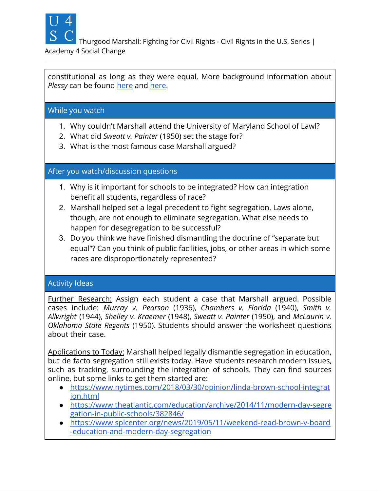

Thurgood Marshall: Fighting for Civil Rights - Civil Rights in the U.S. Series |

#### Academy 4 Social Change

constitutional as long as they were equal. More background information about *Plessy* can be found [here](https://www.history.com/topics/black-history/plessy-v-ferguson) and here.

### While you watch

- 1. Why couldn't Marshall attend the University of Maryland School of Lawl?
- 2. What did *Sweatt v. Painter* (1950) set the stage for?
- 3. What is the most famous case Marshall argued?

## After you watch/discussion questions

- 1. Why is it important for schools to be integrated? How can integration benefit all students, regardless of race?
- 2. Marshall helped set a legal precedent to fight segregation. Laws alone, though, are not enough to eliminate segregation. What else needs to happen for desegregation to be successful?
- 3. Do you think we have finished dismantling the doctrine of "separate but equal"? Can you think of public facilities, jobs, or other areas in which some races are disproportionately represented?

## Activity Ideas

Further Research: Assign each student a case that Marshall argued. Possible cases include: *Murray v. Pearson* (1936), *Chambers v. Florida* (1940), *Smith v. Allwright* (1944), *Shelley v. Kraemer* (1948), *Sweatt v. Painter* (1950), and *McLaurin v. Oklahoma State Regents* (1950). Students should answer the worksheet questions about their case.

Applications to Today: Marshall helped legally dismantle segregation in education, but de facto segregation still exists today. Have students research modern issues, such as tracking, surrounding the integration of schools. They can find sources online, but some links to get them started are:

- [https://www.nytimes.com/2018/03/30/opinion/linda-brown-school-integrat](https://www.nytimes.com/2018/03/30/opinion/linda-brown-school-integration.html)  [ion.html](https://www.nytimes.com/2018/03/30/opinion/linda-brown-school-integration.html)
- [https://www.theatlantic.com/education/archive/2014/11/modern-day-segre](https://www.theatlantic.com/education/archive/2014/11/modern-day-segregation-in-public-schools/382846/)  [gation-in-public-schools/382846/](https://www.theatlantic.com/education/archive/2014/11/modern-day-segregation-in-public-schools/382846/)
- [https://www.splcenter.org/news/2019/05/11/weekend-read-brown-v-board](https://www.splcenter.org/news/2019/05/11/weekend-read-brown-v-board-education-and-modern-day-segregation) [-education-and-modern-day-segregation](https://www.splcenter.org/news/2019/05/11/weekend-read-brown-v-board-education-and-modern-day-segregation)